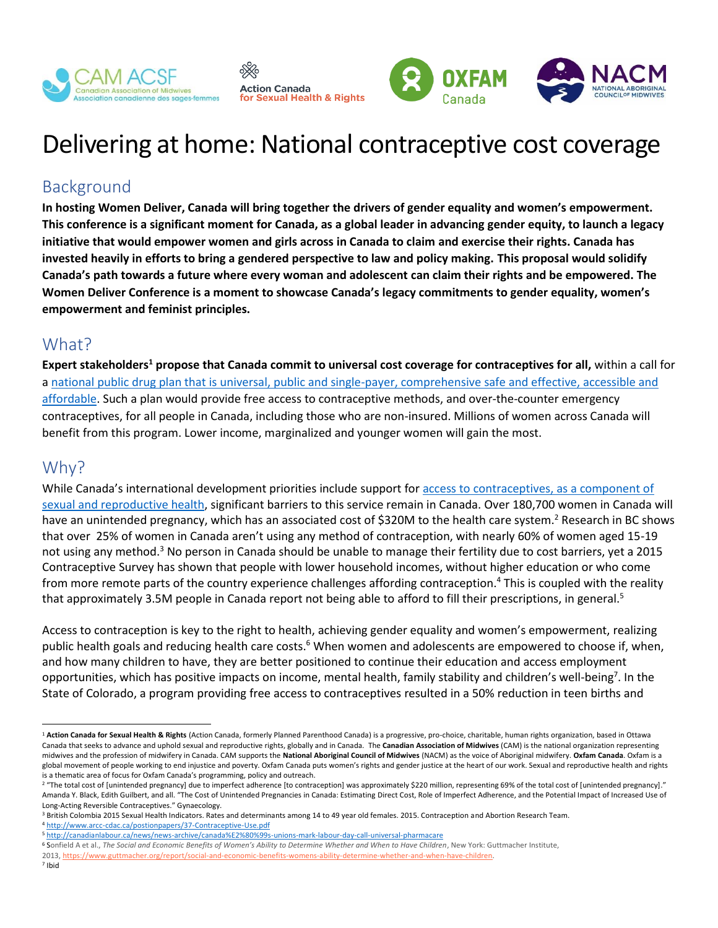





# Delivering at home: National contraceptive cost coverage

### Background

**In hosting Women Deliver, Canada will bring together the drivers of gender equality and women's empowerment. This conference is a significant moment for Canada, as a global leader in advancing gender equity, to launch a legacy initiative that would empower women and girls across in Canada to claim and exercise their rights. Canada has invested heavily in efforts to bring a gendered perspective to law and policy making. This proposal would solidify Canada's path towards a future where every woman and adolescent can claim their rights and be empowered. The Women Deliver Conference is a moment to showcase Canada's legacy commitments to gender equality, women's empowerment and feminist principles.**

#### What?

**Expert stakeholders<sup>1</sup> propose that Canada commit to universal cost coverage for contraceptives for all,** within a call for a [national public drug plan that is universal, public and single-payer, comprehensive safe and effective, accessible and](http://www.healthcoalition.ca/wp-content/uploads/2018/07/REV-Principles-Pharmacare.pdf)  [affordable.](http://www.healthcoalition.ca/wp-content/uploads/2018/07/REV-Principles-Pharmacare.pdf) Such a plan would provide free access to contraceptive methods, and over-the-counter emergency contraceptives, for all people in Canada, including those who are non-insured. Millions of women across Canada will benefit from this program. Lower income, marginalized and younger women will gain the most.

#### Why?

While Canada's international development priorities include support for access to contraceptives, as a component of [sexual and reproductive health,](http://international.gc.ca/world-monde/issues_development-enjeux_developpement/global_health-sante_mondiale/reproductive-reproductifs.aspx?lang=eng) significant barriers to this service remain in Canada. Over 180,700 women in Canada will have an unintended pregnancy, which has an associated cost of \$320M to the health care system.<sup>2</sup> Research in BC shows that over 25% of women in Canada aren't using any method of contraception, with nearly 60% of women aged 15-19 not using any method.<sup>3</sup> No person in Canada should be unable to manage their fertility due to cost barriers, yet a 2015 Contraceptive Survey has shown that people with lower household incomes, without higher education or who come from more remote parts of the country experience challenges affording contraception. <sup>4</sup> This is coupled with the reality that approximately 3.5M people in Canada report not being able to afford to fill their prescriptions, in general.<sup>5</sup>

Access to contraception is key to the right to health, achieving gender equality and women's empowerment, realizing public health goals and reducing health care costs.<sup>6</sup> When women and adolescents are empowered to choose if, when, and how many children to have, they are better positioned to continue their education and access employment opportunities, which has positive impacts on income, mental health, family stability and children's well-being<sup>7</sup>. In the State of Colorado, a program providing free access to contraceptives resulted in a 50% reduction in teen births and

<sup>4</sup> <http://www.arcc-cdac.ca/postionpapers/37-Contraceptive-Use.pdf>

- <sup>6</sup> Sonfield A et al., *The Social and Economic Benefits of Women's Ability to Determine Whether and When to Have Children*, New York: Guttmacher Institute,
- 2013, [https://www.guttmacher.org/report/social-and-economic-benefits-womens-ability-determine-whether-and-when-have-children.](https://www.guttmacher.org/report/social-and-economic-benefits-womens-ability-determine-whether-and-when-have-children)

 $\overline{a}$ 

<sup>&</sup>lt;sup>1</sup> Action Canada for Sexual Health & Rights (Action Canada, formerly Planned Parenthood Canada) is a progressive, pro-choice, charitable, human rights organization, based in Ottawa Canada that seeks to advance and uphold sexual and reproductive rights, globally and in Canada. The **Canadian Association of Midwives** (CAM) is the national organization representing midwives and the profession of midwifery in Canada. CAM supports the **National Aboriginal Council of Midwives** (NACM) as the voice of Aboriginal midwifery. **Oxfam Canada**. Oxfam is a global movement of people working to end injustice and poverty. Oxfam Canada puts women's rights and gender justice at the heart of our work. Sexual and reproductive health and rights is a thematic area of focus for Oxfam Canada's programming, policy and outreach.

<sup>&</sup>lt;sup>2</sup> "The total cost of [unintended pregnancy] due to imperfect adherence [to contraception] was approximately \$220 million, representing 69% of the total cost of [unintended pregnancy]." Amanda Y. Black, Edith Guilbert, and all. "The Cost of Unintended Pregnancies in Canada: Estimating Direct Cost, Role of Imperfect Adherence, and the Potential Impact of Increased Use of Long-Acting Reversible Contraceptives." Gynaecology.

<sup>&</sup>lt;sup>3</sup> British Colombia 2015 Sexual Health Indicators. Rates and determinants among 14 to 49 year old females. 2015. Contraception and Abortion Research Team.

<sup>5</sup> <http://canadianlabour.ca/news/news-archive/canada%E2%80%99s-unions-mark-labour-day-call-universal-pharmacare>